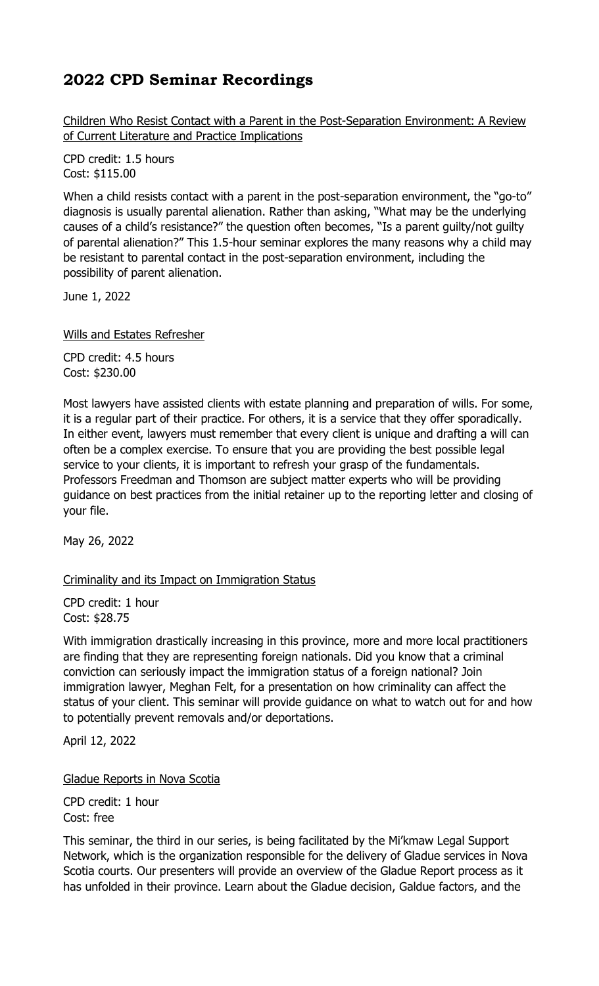Children Who Resist Contact with a Parent in the Post-Separation Environment: A Review of Current Literature and Practice Implications

CPD credit: 1.5 hours Cost: \$115.00

When a child resists contact with a parent in the post-separation environment, the "go-to" diagnosis is usually parental alienation. Rather than asking, "What may be the underlying causes of a child's resistance?" the question often becomes, "Is a parent guilty/not guilty of parental alienation?" This 1.5-hour seminar explores the many reasons why a child may be resistant to parental contact in the post-separation environment, including the possibility of parent alienation.

June 1, 2022

Wills and Estates Refresher

CPD credit: 4.5 hours Cost: \$230.00

Most lawyers have assisted clients with estate planning and preparation of wills. For some, it is a regular part of their practice. For others, it is a service that they offer sporadically. In either event, lawyers must remember that every client is unique and drafting a will can often be a complex exercise. To ensure that you are providing the best possible legal service to your clients, it is important to refresh your grasp of the fundamentals. Professors Freedman and Thomson are subject matter experts who will be providing guidance on best practices from the initial retainer up to the reporting letter and closing of your file.

May 26, 2022

#### Criminality and its Impact on Immigration Status

CPD credit: 1 hour Cost: \$28.75

With immigration drastically increasing in this province, more and more local practitioners are finding that they are representing foreign nationals. Did you know that a criminal conviction can seriously impact the immigration status of a foreign national? Join immigration lawyer, Meghan Felt, for a presentation on how criminality can affect the status of your client. This seminar will provide guidance on what to watch out for and how to potentially prevent removals and/or deportations.

April 12, 2022

Gladue Reports in Nova Scotia

CPD credit: 1 hour Cost: free

This seminar, the third in our series, is being facilitated by the Mi'kmaw Legal Support Network, which is the organization responsible for the delivery of Gladue services in Nova Scotia courts. Our presenters will provide an overview of the Gladue Report process as it has unfolded in their province. Learn about the Gladue decision, Galdue factors, and the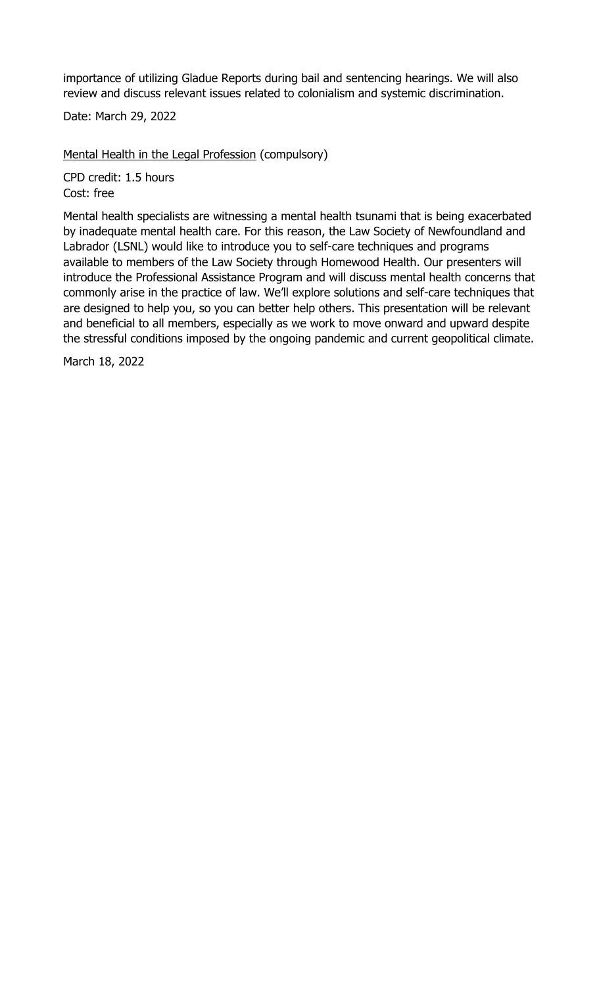importance of utilizing Gladue Reports during bail and sentencing hearings. We will also review and discuss relevant issues related to colonialism and systemic discrimination.

Date: March 29, 2022

Mental Health in the Legal Profession (compulsory)

CPD credit: 1.5 hours Cost: free

Mental health specialists are witnessing a mental health tsunami that is being exacerbated by inadequate mental health care. For this reason, the Law Society of Newfoundland and Labrador (LSNL) would like to introduce you to self-care techniques and programs available to members of the Law Society through Homewood Health. Our presenters will introduce the Professional Assistance Program and will discuss mental health concerns that commonly arise in the practice of law. We'll explore solutions and self-care techniques that are designed to help you, so you can better help others. This presentation will be relevant and beneficial to all members, especially as we work to move onward and upward despite the stressful conditions imposed by the ongoing pandemic and current geopolitical climate.

March 18, 2022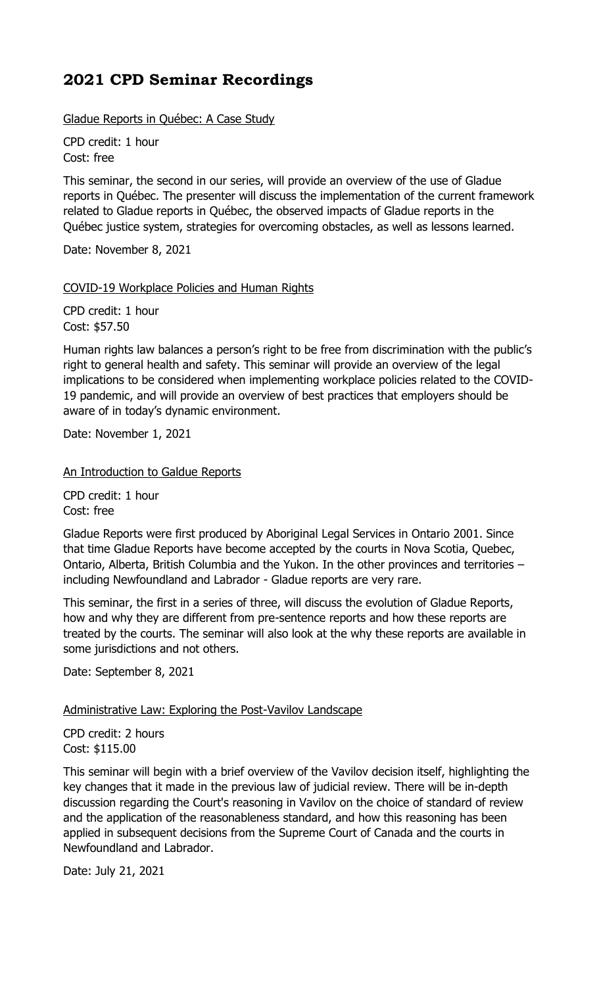Gladue Reports in Québec: A Case Study

CPD credit: 1 hour Cost: free

This seminar, the second in our series, will provide an overview of the use of Gladue reports in Québec. The presenter will discuss the implementation of the current framework related to Gladue reports in Québec, the observed impacts of Gladue reports in the Québec justice system, strategies for overcoming obstacles, as well as lessons learned.

Date: November 8, 2021

### COVID-19 Workplace Policies and Human Rights

CPD credit: 1 hour Cost: \$57.50

Human rights law balances a person's right to be free from discrimination with the public's right to general health and safety. This seminar will provide an overview of the legal implications to be considered when implementing workplace policies related to the COVID-19 pandemic, and will provide an overview of best practices that employers should be aware of in today's dynamic environment.

Date: November 1, 2021

An Introduction to Galdue Reports

CPD credit: 1 hour Cost: free

Gladue Reports were first produced by Aboriginal Legal Services in Ontario 2001. Since that time Gladue Reports have become accepted by the courts in Nova Scotia, Quebec, Ontario, Alberta, British Columbia and the Yukon. In the other provinces and territories – including Newfoundland and Labrador - Gladue reports are very rare.

This seminar, the first in a series of three, will discuss the evolution of Gladue Reports, how and why they are different from pre-sentence reports and how these reports are treated by the courts. The seminar will also look at the why these reports are available in some jurisdictions and not others.

Date: September 8, 2021

#### Administrative Law: Exploring the Post-Vavilov Landscape

CPD credit: 2 hours Cost: \$115.00

This seminar will begin with a brief overview of the Vavilov decision itself, highlighting the key changes that it made in the previous law of judicial review. There will be in-depth discussion regarding the Court's reasoning in Vavilov on the choice of standard of review and the application of the reasonableness standard, and how this reasoning has been applied in subsequent decisions from the Supreme Court of Canada and the courts in Newfoundland and Labrador.

Date: July 21, 2021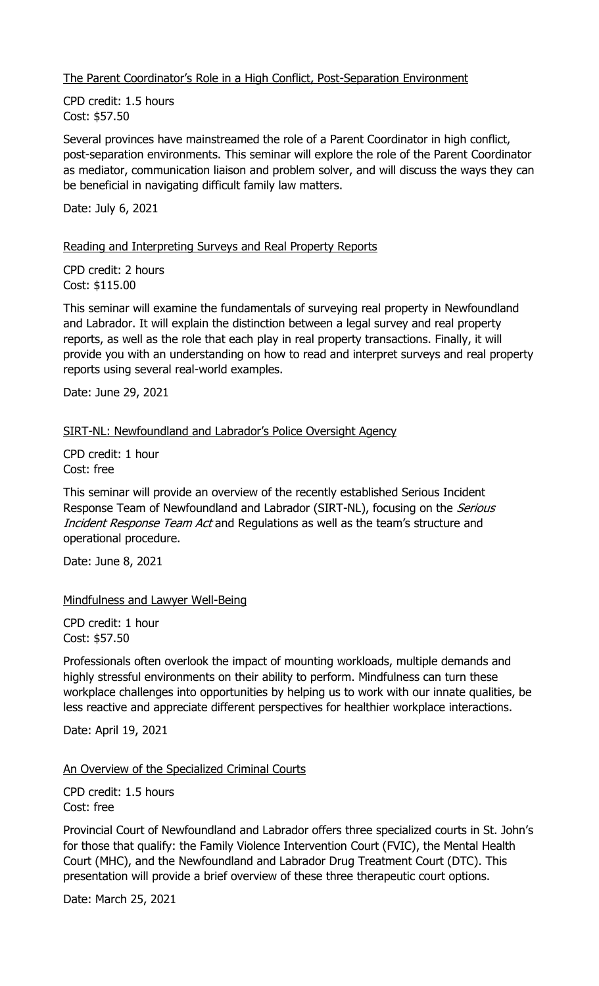The Parent Coordinator's Role in a High Conflict, Post-Separation Environment

CPD credit: 1.5 hours Cost: \$57.50

Several provinces have mainstreamed the role of a Parent Coordinator in high conflict, post-separation environments. This seminar will explore the role of the Parent Coordinator as mediator, communication liaison and problem solver, and will discuss the ways they can be beneficial in navigating difficult family law matters.

Date: July 6, 2021

#### Reading and Interpreting Surveys and Real Property Reports

CPD credit: 2 hours Cost: \$115.00

This seminar will examine the fundamentals of surveying real property in Newfoundland and Labrador. It will explain the distinction between a legal survey and real property reports, as well as the role that each play in real property transactions. Finally, it will provide you with an understanding on how to read and interpret surveys and real property reports using several real-world examples.

Date: June 29, 2021

### SIRT-NL: Newfoundland and Labrador's Police Oversight Agency

CPD credit: 1 hour Cost: free

This seminar will provide an overview of the recently established Serious Incident Response Team of Newfoundland and Labrador (SIRT-NL), focusing on the Serious Incident Response Team Act and Regulations as well as the team's structure and operational procedure.

Date: June 8, 2021

#### Mindfulness and Lawyer Well-Being

CPD credit: 1 hour Cost: \$57.50

Professionals often overlook the impact of mounting workloads, multiple demands and highly stressful environments on their ability to perform. Mindfulness can turn these workplace challenges into opportunities by helping us to work with our innate qualities, be less reactive and appreciate different perspectives for healthier workplace interactions.

Date: April 19, 2021

#### An Overview of the Specialized Criminal Courts

CPD credit: 1.5 hours Cost: free

Provincial Court of Newfoundland and Labrador offers three specialized courts in St. John's for those that qualify: the Family Violence Intervention Court (FVIC), the Mental Health Court (MHC), and the Newfoundland and Labrador Drug Treatment Court (DTC). This presentation will provide a brief overview of these three therapeutic court options.

Date: March 25, 2021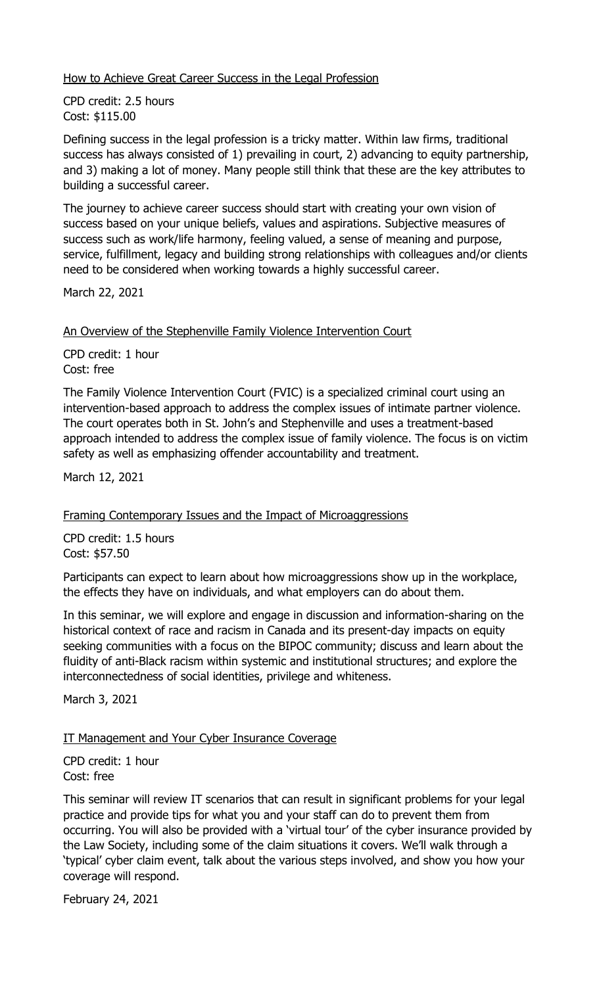How to Achieve Great Career Success in the Legal Profession

CPD credit: 2.5 hours Cost: \$115.00

Defining success in the legal profession is a tricky matter. Within law firms, traditional success has always consisted of 1) prevailing in court, 2) advancing to equity partnership, and 3) making a lot of money. Many people still think that these are the key attributes to building a successful career.

The journey to achieve career success should start with creating your own vision of success based on your unique beliefs, values and aspirations. Subjective measures of success such as work/life harmony, feeling valued, a sense of meaning and purpose, service, fulfillment, legacy and building strong relationships with colleagues and/or clients need to be considered when working towards a highly successful career.

March 22, 2021

An Overview of the Stephenville Family Violence Intervention Court

CPD credit: 1 hour Cost: free

The Family Violence Intervention Court (FVIC) is a specialized criminal court using an intervention-based approach to address the complex issues of intimate partner violence. The court operates both in St. John's and Stephenville and uses a treatment-based approach intended to address the complex issue of family violence. The focus is on victim safety as well as emphasizing offender accountability and treatment.

March 12, 2021

Framing Contemporary Issues and the Impact of Microaggressions

CPD credit: 1.5 hours Cost: \$57.50

Participants can expect to learn about how microaggressions show up in the workplace, the effects they have on individuals, and what employers can do about them.

In this seminar, we will explore and engage in discussion and information-sharing on the historical context of race and racism in Canada and its present-day impacts on equity seeking communities with a focus on the BIPOC community; discuss and learn about the fluidity of anti-Black racism within systemic and institutional structures; and explore the interconnectedness of social identities, privilege and whiteness.

March 3, 2021

IT Management and Your Cyber Insurance Coverage

CPD credit: 1 hour Cost: free

This seminar will review IT scenarios that can result in significant problems for your legal practice and provide tips for what you and your staff can do to prevent them from occurring. You will also be provided with a 'virtual tour' of the cyber insurance provided by the Law Society, including some of the claim situations it covers. We'll walk through a 'typical' cyber claim event, talk about the various steps involved, and show you how your coverage will respond.

February 24, 2021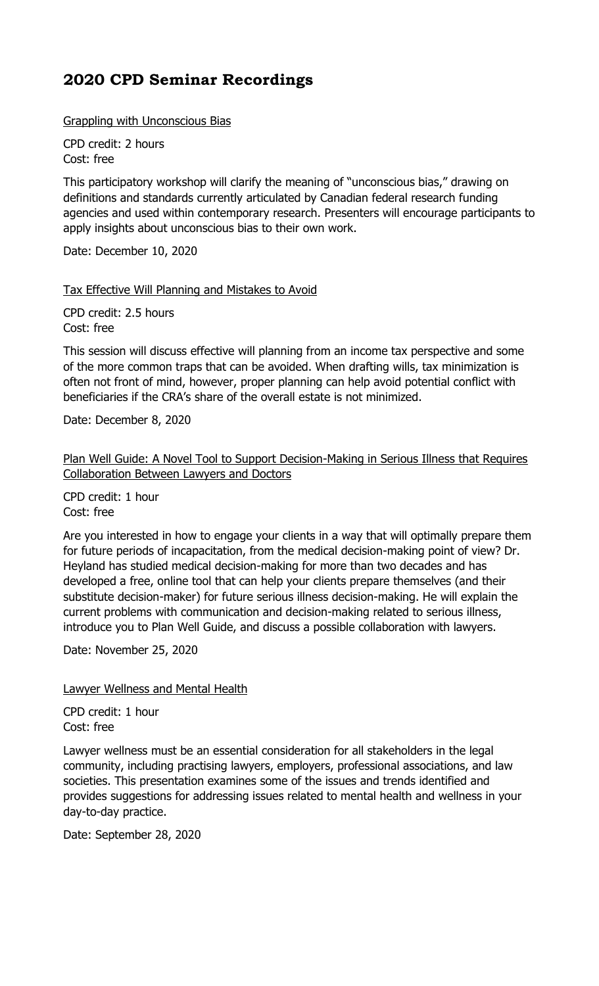Grappling with Unconscious Bias

CPD credit: 2 hours Cost: free

This participatory workshop will clarify the meaning of "unconscious bias," drawing on definitions and standards currently articulated by Canadian federal research funding agencies and used within contemporary research. Presenters will encourage participants to apply insights about unconscious bias to their own work.

Date: December 10, 2020

Tax Effective Will Planning and Mistakes to Avoid

CPD credit: 2.5 hours Cost: free

This session will discuss effective will planning from an income tax perspective and some of the more common traps that can be avoided. When drafting wills, tax minimization is often not front of mind, however, proper planning can help avoid potential conflict with beneficiaries if the CRA's share of the overall estate is not minimized.

Date: December 8, 2020

Plan Well Guide: A Novel Tool to Support Decision-Making in Serious Illness that Requires Collaboration Between Lawyers and Doctors

CPD credit: 1 hour Cost: free

Are you interested in how to engage your clients in a way that will optimally prepare them for future periods of incapacitation, from the medical decision-making point of view? Dr. Heyland has studied medical decision-making for more than two decades and has developed a free, online tool that can help your clients prepare themselves (and their substitute decision-maker) for future serious illness decision-making. He will explain the current problems with communication and decision-making related to serious illness, introduce you to Plan Well Guide, and discuss a possible collaboration with lawyers.

Date: November 25, 2020

Lawyer Wellness and Mental Health

CPD credit: 1 hour Cost: free

Lawyer wellness must be an essential consideration for all stakeholders in the legal community, including practising lawyers, employers, professional associations, and law societies. This presentation examines some of the issues and trends identified and provides suggestions for addressing issues related to mental health and wellness in your day-to-day practice.

Date: September 28, 2020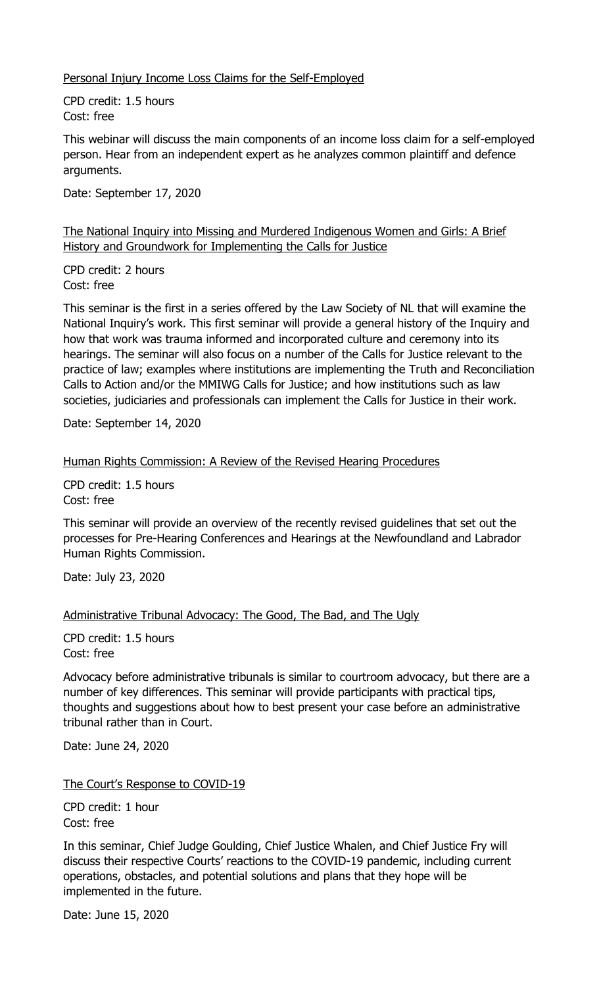Personal Injury Income Loss Claims for the Self-Employed

CPD credit: 1.5 hours Cost: free

This webinar will discuss the main components of an income loss claim for a self-employed person. Hear from an independent expert as he analyzes common plaintiff and defence arguments.

Date: September 17, 2020

The National Inquiry into Missing and Murdered Indigenous Women and Girls: A Brief History and Groundwork for Implementing the Calls for Justice

CPD credit: 2 hours Cost: free

This seminar is the first in a series offered by the Law Society of NL that will examine the National Inquiry's work. This first seminar will provide a general history of the Inquiry and how that work was trauma informed and incorporated culture and ceremony into its hearings. The seminar will also focus on a number of the Calls for Justice relevant to the practice of law; examples where institutions are implementing the Truth and Reconciliation Calls to Action and/or the MMIWG Calls for Justice; and how institutions such as law societies, judiciaries and professionals can implement the Calls for Justice in their work.

Date: September 14, 2020

Human Rights Commission: A Review of the Revised Hearing Procedures

CPD credit: 1.5 hours Cost: free

This seminar will provide an overview of the recently revised guidelines that set out the processes for Pre-Hearing Conferences and Hearings at the Newfoundland and Labrador Human Rights Commission.

Date: July 23, 2020

Administrative Tribunal Advocacy: The Good, The Bad, and The Ugly

CPD credit: 1.5 hours Cost: free

Advocacy before administrative tribunals is similar to courtroom advocacy, but there are a number of key differences. This seminar will provide participants with practical tips, thoughts and suggestions about how to best present your case before an administrative tribunal rather than in Court.

Date: June 24, 2020

The Court's Response to COVID-19

CPD credit: 1 hour Cost: free

In this seminar, Chief Judge Goulding, Chief Justice Whalen, and Chief Justice Fry will discuss their respective Courts' reactions to the COVID-19 pandemic, including current operations, obstacles, and potential solutions and plans that they hope will be implemented in the future.

Date: June 15, 2020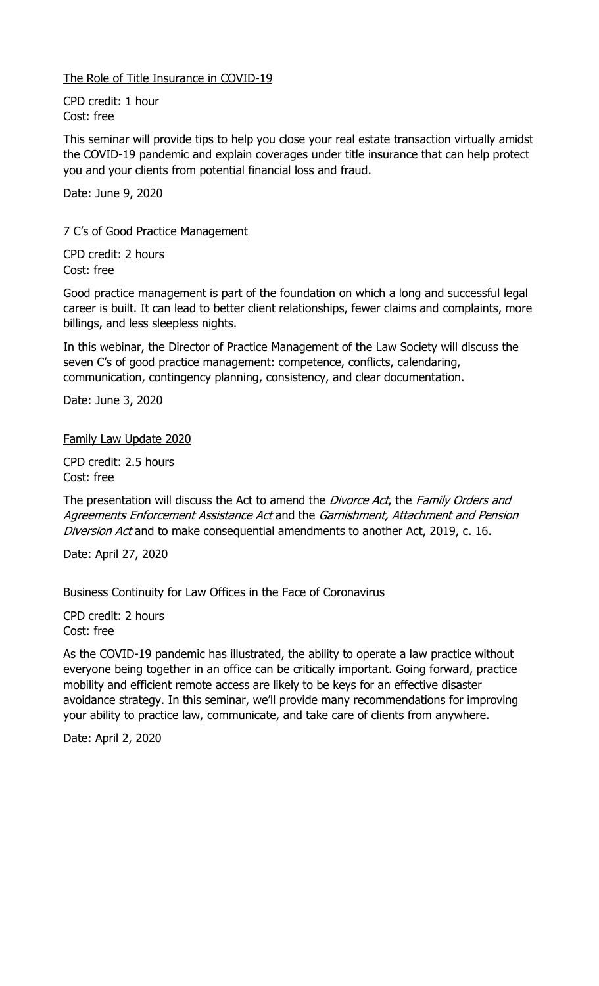The Role of Title Insurance in COVID-19

CPD credit: 1 hour Cost: free

This seminar will provide tips to help you close your real estate transaction virtually amidst the COVID-19 pandemic and explain coverages under title insurance that can help protect you and your clients from potential financial loss and fraud.

Date: June 9, 2020

7 C's of Good Practice Management

CPD credit: 2 hours Cost: free

Good practice management is part of the foundation on which a long and successful legal career is built. It can lead to better client relationships, fewer claims and complaints, more billings, and less sleepless nights.

In this webinar, the Director of Practice Management of the Law Society will discuss the seven C's of good practice management: competence, conflicts, calendaring, communication, contingency planning, consistency, and clear documentation.

Date: June 3, 2020

Family Law Update 2020

CPD credit: 2.5 hours Cost: free

The presentation will discuss the Act to amend the Divorce Act, the Family Orders and Agreements Enforcement Assistance Act and the Garnishment, Attachment and Pension Diversion Act and to make consequential amendments to another Act, 2019, c. 16.

Date: April 27, 2020

Business Continuity for Law Offices in the Face of Coronavirus

CPD credit: 2 hours Cost: free

As the COVID-19 pandemic has illustrated, the ability to operate a law practice without everyone being together in an office can be critically important. Going forward, practice mobility and efficient remote access are likely to be keys for an effective disaster avoidance strategy. In this seminar, we'll provide many recommendations for improving your ability to practice law, communicate, and take care of clients from anywhere.

Date: April 2, 2020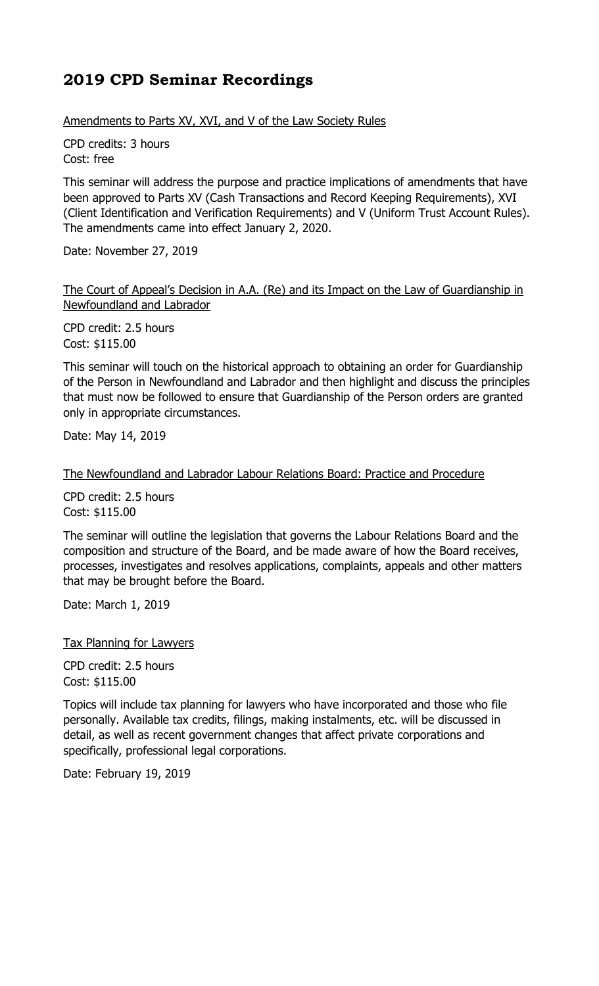Amendments to Parts XV, XVI, and V of the Law Society Rules

CPD credits: 3 hours Cost: free

This seminar will address the purpose and practice implications of amendments that have been approved to Parts XV (Cash Transactions and Record Keeping Requirements), XVI (Client Identification and Verification Requirements) and V (Uniform Trust Account Rules). The amendments came into effect January 2, 2020.

Date: November 27, 2019

The Court of Appeal's Decision in A.A. (Re) and its Impact on the Law of Guardianship in Newfoundland and Labrador

CPD credit: 2.5 hours Cost: \$115.00

This seminar will touch on the historical approach to obtaining an order for Guardianship of the Person in Newfoundland and Labrador and then highlight and discuss the principles that must now be followed to ensure that Guardianship of the Person orders are granted only in appropriate circumstances.

Date: May 14, 2019

The Newfoundland and Labrador Labour Relations Board: Practice and Procedure

CPD credit: 2.5 hours Cost: \$115.00

The seminar will outline the legislation that governs the Labour Relations Board and the composition and structure of the Board, and be made aware of how the Board receives, processes, investigates and resolves applications, complaints, appeals and other matters that may be brought before the Board.

Date: March 1, 2019

Tax Planning for Lawyers

CPD credit: 2.5 hours Cost: \$115.00

Topics will include tax planning for lawyers who have incorporated and those who file personally. Available tax credits, filings, making instalments, etc. will be discussed in detail, as well as recent government changes that affect private corporations and specifically, professional legal corporations.

Date: February 19, 2019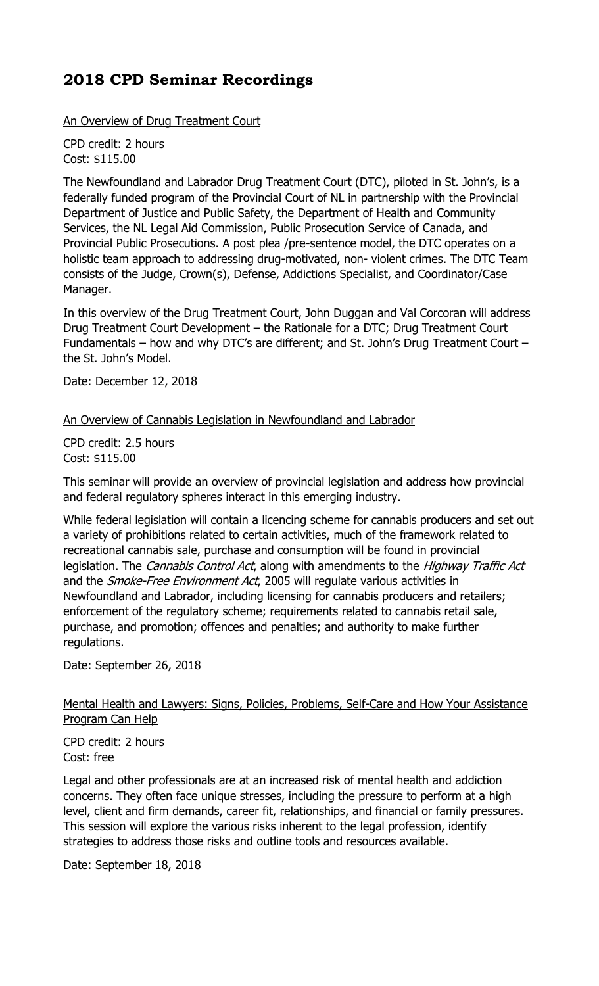An Overview of Drug Treatment Court

CPD credit: 2 hours Cost: \$115.00

The Newfoundland and Labrador Drug Treatment Court (DTC), piloted in St. John's, is a federally funded program of the Provincial Court of NL in partnership with the Provincial Department of Justice and Public Safety, the Department of Health and Community Services, the NL Legal Aid Commission, Public Prosecution Service of Canada, and Provincial Public Prosecutions. A post plea /pre-sentence model, the DTC operates on a holistic team approach to addressing drug-motivated, non- violent crimes. The DTC Team consists of the Judge, Crown(s), Defense, Addictions Specialist, and Coordinator/Case Manager.

In this overview of the Drug Treatment Court, John Duggan and Val Corcoran will address Drug Treatment Court Development – the Rationale for a DTC; Drug Treatment Court Fundamentals – how and why DTC's are different; and St. John's Drug Treatment Court – the St. John's Model.

Date: December 12, 2018

An Overview of Cannabis Legislation in Newfoundland and Labrador

CPD credit: 2.5 hours Cost: \$115.00

This seminar will provide an overview of provincial legislation and address how provincial and federal regulatory spheres interact in this emerging industry.

While federal legislation will contain a licencing scheme for cannabis producers and set out a variety of prohibitions related to certain activities, much of the framework related to recreational cannabis sale, purchase and consumption will be found in provincial legislation. The Cannabis Control Act, along with amendments to the Highway Traffic Act and the *Smoke-Free Environment Act*, 2005 will regulate various activities in Newfoundland and Labrador, including licensing for cannabis producers and retailers; enforcement of the regulatory scheme; requirements related to cannabis retail sale, purchase, and promotion; offences and penalties; and authority to make further regulations.

Date: September 26, 2018

### Mental Health and Lawyers: Signs, Policies, Problems, Self-Care and How Your Assistance Program Can Help

CPD credit: 2 hours Cost: free

Legal and other professionals are at an increased risk of mental health and addiction concerns. They often face unique stresses, including the pressure to perform at a high level, client and firm demands, career fit, relationships, and financial or family pressures. This session will explore the various risks inherent to the legal profession, identify strategies to address those risks and outline tools and resources available.

Date: September 18, 2018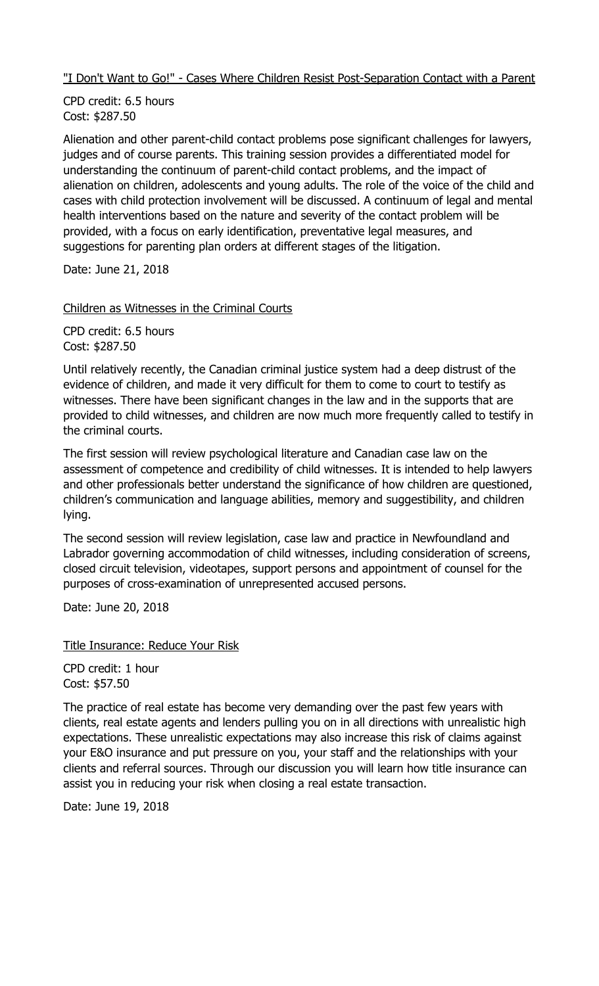"I Don't Want to Go!" - Cases Where Children Resist Post-Separation Contact with a Parent

CPD credit: 6.5 hours Cost: \$287.50

Alienation and other parent-child contact problems pose significant challenges for lawyers, judges and of course parents. This training session provides a differentiated model for understanding the continuum of parent-child contact problems, and the impact of alienation on children, adolescents and young adults. The role of the voice of the child and cases with child protection involvement will be discussed. A continuum of legal and mental health interventions based on the nature and severity of the contact problem will be provided, with a focus on early identification, preventative legal measures, and suggestions for parenting plan orders at different stages of the litigation.

Date: June 21, 2018

Children as Witnesses in the Criminal Courts

CPD credit: 6.5 hours Cost: \$287.50

Until relatively recently, the Canadian criminal justice system had a deep distrust of the evidence of children, and made it very difficult for them to come to court to testify as witnesses. There have been significant changes in the law and in the supports that are provided to child witnesses, and children are now much more frequently called to testify in the criminal courts.

The first session will review psychological literature and Canadian case law on the assessment of competence and credibility of child witnesses. It is intended to help lawyers and other professionals better understand the significance of how children are questioned, children's communication and language abilities, memory and suggestibility, and children lying.

The second session will review legislation, case law and practice in Newfoundland and Labrador governing accommodation of child witnesses, including consideration of screens, closed circuit television, videotapes, support persons and appointment of counsel for the purposes of cross-examination of unrepresented accused persons.

Date: June 20, 2018

Title Insurance: Reduce Your Risk

CPD credit: 1 hour Cost: \$57.50

The practice of real estate has become very demanding over the past few years with clients, real estate agents and lenders pulling you on in all directions with unrealistic high expectations. These unrealistic expectations may also increase this risk of claims against your E&O insurance and put pressure on you, your staff and the relationships with your clients and referral sources. Through our discussion you will learn how title insurance can assist you in reducing your risk when closing a real estate transaction.

Date: June 19, 2018